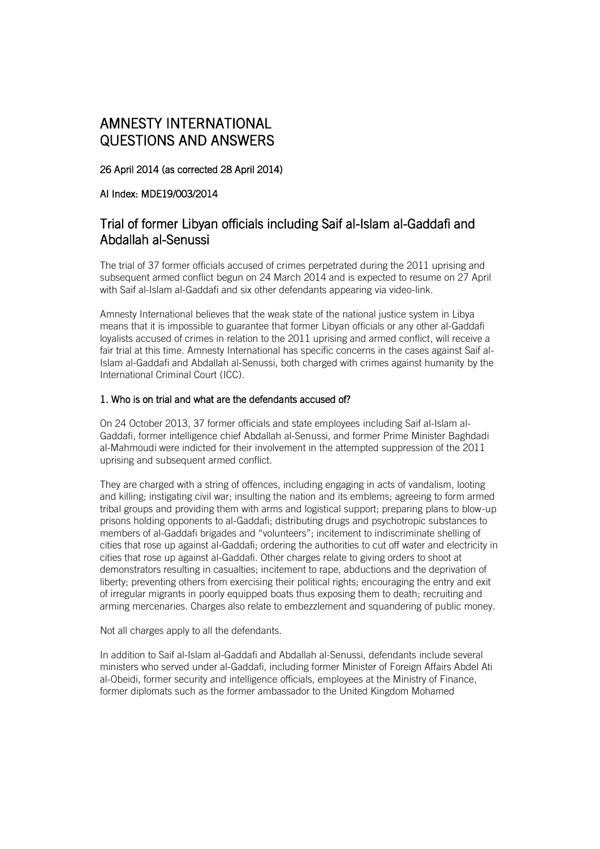# AMNESTY INTERNATIONAL QUESTIONS AND ANSWERS

26 April 2014 (as corrected 28 April 2014)

# AI Index: MDE19/003/2014

# Trial of former Libyan officials including Saif al-Islam al-Gaddafi and Abdallah al-Senussi

The trial of 37 former officials accused of crimes perpetrated during the 2011 uprising and subsequent armed conflict begun on 24 March 2014 and is expected to resume on 27 April with Saif al-Islam al-Gaddafi and six other defendants appearing via video-link.

Amnesty International believes that the weak state of the national justice system in Libya means that it is impossible to guarantee that former Libyan officials or any other al-Gaddafi loyalists accused of crimes in relation to the 2011 uprising and armed conflict, will receive a fair trial at this time. Amnesty International has specific concerns in the cases against Saif al-Islam al-Gaddafi and Abdallah al-Senussi, both charged with crimes against humanity by the International Criminal Court (ICC).

# 1. Who is on trial and what are the defendants accused of?

On 24 October 2013, 37 former officials and state employees including Saif al-Islam al-Gaddafi, former intelligence chief Abdallah al-Senussi, and former Prime Minister Baghdadi al-Mahmoudi were indicted for their involvement in the attempted suppression of the 2011 uprising and subsequent armed conflict.

They are charged with a string of offences, including engaging in acts of vandalism, looting and killing; instigating civil war; insulting the nation and its emblems; agreeing to form armed tribal groups and providing them with arms and logistical support; preparing plans to blow-up prisons holding opponents to al-Gaddafi; distributing drugs and psychotropic substances to members of al-Gaddafi brigades and "volunteers"; incitement to indiscriminate shelling of cities that rose up against al-Gaddafi; ordering the authorities to cut off water and electricity in cities that rose up against al-Gaddafi. Other charges relate to giving orders to shoot at demonstrators resulting in casualties; incitement to rape, abductions and the deprivation of liberty; preventing others from exercising their political rights; encouraging the entry and exit of irregular migrants in poorly equipped boats thus exposing them to death; recruiting and arming mercenaries. Charges also relate to embezzlement and squandering of public money.

Not all charges apply to all the defendants.

In addition to Saif al-Islam al-Gaddafi and Abdallah al-Senussi, defendants include several ministers who served under al-Gaddafi, including former Minister of Foreign Affairs Abdel Ati al-Obeidi, former security and intelligence officials, employees at the Ministry of Finance, former diplomats such as the former ambassador to the United Kingdom Mohamed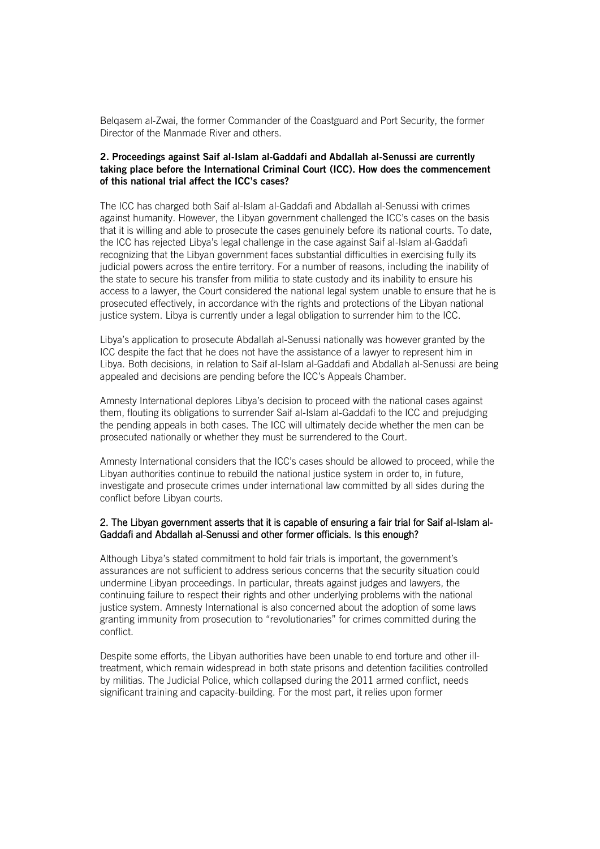Belqasem al-Zwai, the former Commander of the Coastguard and Port Security, the former Director of the Manmade River and others.

## **2. Proceedings against Saif al-Islam al-Gaddafi and Abdallah al-Senussi are currently taking place before the International Criminal Court (ICC). How does the commencement of this national trial affect the ICC's cases?**

The ICC has charged both Saif al-Islam al-Gaddafi and Abdallah al-Senussi with crimes against humanity. However, the Libyan government challenged the ICC's cases on the basis that it is willing and able to prosecute the cases genuinely before its national courts. To date, the ICC has rejected Libya's legal challenge in the case against Saif al-Islam al-Gaddafi recognizing that the Libyan government faces substantial difficulties in exercising fully its judicial powers across the entire territory. For a number of reasons, including the inability of the state to secure his transfer from militia to state custody and its inability to ensure his access to a lawyer, the Court considered the national legal system unable to ensure that he is prosecuted effectively, in accordance with the rights and protections of the Libyan national justice system. Libya is currently under a legal obligation to surrender him to the ICC.

Libya's application to prosecute Abdallah al-Senussi nationally was however granted by the ICC despite the fact that he does not have the assistance of a lawyer to represent him in Libya. Both decisions, in relation to Saif al-Islam al-Gaddafi and Abdallah al-Senussi are being appealed and decisions are pending before the ICC's Appeals Chamber.

Amnesty International deplores Libya's decision to proceed with the national cases against them, flouting its obligations to surrender Saif al-Islam al-Gaddafi to the ICC and prejudging the pending appeals in both cases. The ICC will ultimately decide whether the men can be prosecuted nationally or whether they must be surrendered to the Court.

Amnesty International considers that the ICC's cases should be allowed to proceed, while the Libyan authorities continue to rebuild the national justice system in order to, in future, investigate and prosecute crimes under international law committed by all sides during the conflict before Libyan courts.

# 2. The Libyan government asserts that it is capable of ensuring a fair trial for Saif al-Islam al-Gaddafi and Abdallah al-Senussi and other former officials. Is this enough?

Although Libya's stated commitment to hold fair trials is important, the government's assurances are not sufficient to address serious concerns that the security situation could undermine Libyan proceedings. In particular, threats against judges and lawyers, the continuing failure to respect their rights and other underlying problems with the national justice system. Amnesty International is also concerned about the adoption of some laws granting immunity from prosecution to "revolutionaries" for crimes committed during the conflict.

Despite some efforts, the Libyan authorities have been unable to end torture and other illtreatment, which remain widespread in both state prisons and detention facilities controlled by militias. The Judicial Police, which collapsed during the 2011 armed conflict, needs significant training and capacity-building. For the most part, it relies upon former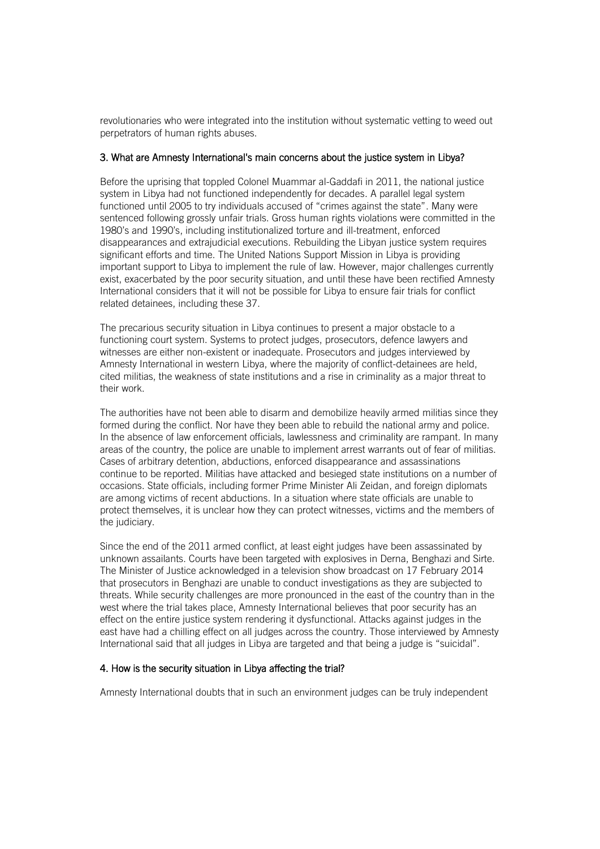revolutionaries who were integrated into the institution without systematic vetting to weed out perpetrators of human rights abuses.

# 3. What are Amnesty International's main concerns about the justice system in Libya?

Before the uprising that toppled Colonel Muammar al-Gaddafi in 2011, the national justice system in Libya had not functioned independently for decades. A parallel legal system functioned until 2005 to try individuals accused of "crimes against the state". Many were sentenced following grossly unfair trials. Gross human rights violations were committed in the 1980's and 1990's, including institutionalized torture and ill-treatment, enforced disappearances and extrajudicial executions. Rebuilding the Libyan justice system requires significant efforts and time. The United Nations Support Mission in Libya is providing important support to Libya to implement the rule of law. However, major challenges currently exist, exacerbated by the poor security situation, and until these have been rectified Amnesty International considers that it will not be possible for Libya to ensure fair trials for conflict related detainees, including these 37.

The precarious security situation in Libya continues to present a major obstacle to a functioning court system. Systems to protect judges, prosecutors, defence lawyers and witnesses are either non-existent or inadequate. Prosecutors and judges interviewed by Amnesty International in western Libya, where the majority of conflict-detainees are held, cited militias, the weakness of state institutions and a rise in criminality as a major threat to their work.

The authorities have not been able to disarm and demobilize heavily armed militias since they formed during the conflict. Nor have they been able to rebuild the national army and police. In the absence of law enforcement officials, lawlessness and criminality are rampant. In many areas of the country, the police are unable to implement arrest warrants out of fear of militias. Cases of arbitrary detention, abductions, enforced disappearance and assassinations continue to be reported. Militias have attacked and besieged state institutions on a number of occasions. State officials, including former Prime Minister Ali Zeidan, and foreign diplomats are among victims of recent abductions. In a situation where state officials are unable to protect themselves, it is unclear how they can protect witnesses, victims and the members of the judiciary.

Since the end of the 2011 armed conflict, at least eight judges have been assassinated by unknown assailants. Courts have been targeted with explosives in Derna, Benghazi and Sirte. The Minister of Justice acknowledged in a television show broadcast on 17 February 2014 that prosecutors in Benghazi are unable to conduct investigations as they are subjected to threats. While security challenges are more pronounced in the east of the country than in the west where the trial takes place, Amnesty International believes that poor security has an effect on the entire justice system rendering it dysfunctional. Attacks against judges in the east have had a chilling effect on all judges across the country. Those interviewed by Amnesty International said that all judges in Libya are targeted and that being a judge is "suicidal".

# 4. How is the security situation in Libya affecting the trial?

Amnesty International doubts that in such an environment judges can be truly independent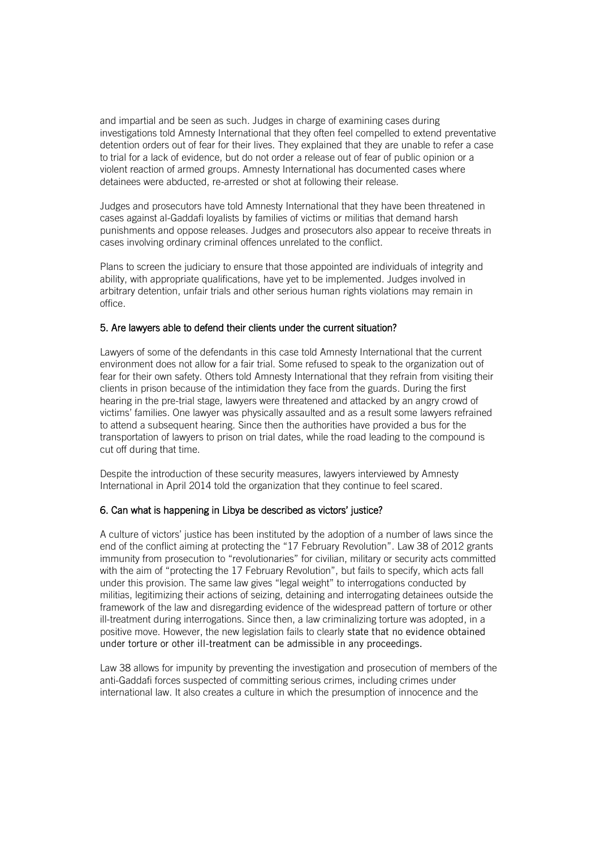and impartial and be seen as such. Judges in charge of examining cases during investigations told Amnesty International that they often feel compelled to extend preventative detention orders out of fear for their lives. They explained that they are unable to refer a case to trial for a lack of evidence, but do not order a release out of fear of public opinion or a violent reaction of armed groups. Amnesty International has documented cases where detainees were abducted, re-arrested or shot at following their release.

Judges and prosecutors have told Amnesty International that they have been threatened in cases against al-Gaddafi loyalists by families of victims or militias that demand harsh punishments and oppose releases. Judges and prosecutors also appear to receive threats in cases involving ordinary criminal offences unrelated to the conflict.

Plans to screen the judiciary to ensure that those appointed are individuals of integrity and ability, with appropriate qualifications, have yet to be implemented. Judges involved in arbitrary detention, unfair trials and other serious human rights violations may remain in office.

## 5. Are lawyers able to defend their clients under the current situation?

Lawyers of some of the defendants in this case told Amnesty International that the current environment does not allow for a fair trial. Some refused to speak to the organization out of fear for their own safety. Others told Amnesty International that they refrain from visiting their clients in prison because of the intimidation they face from the guards. During the first hearing in the pre-trial stage, lawyers were threatened and attacked by an angry crowd of victims' families. One lawyer was physically assaulted and as a result some lawyers refrained to attend a subsequent hearing. Since then the authorities have provided a bus for the transportation of lawyers to prison on trial dates, while the road leading to the compound is cut off during that time.

Despite the introduction of these security measures, lawyers interviewed by Amnesty International in April 2014 told the organization that they continue to feel scared.

## 6. Can what is happening in Libya be described as victors' justice?

A culture of victors' justice has been instituted by the adoption of a number of laws since the end of the conflict aiming at protecting the "17 February Revolution". Law 38 of 2012 grants immunity from prosecution to "revolutionaries" for civilian, military or security acts committed with the aim of "protecting the 17 February Revolution", but fails to specify, which acts fall under this provision. The same law gives "legal weight" to interrogations conducted by militias, legitimizing their actions of seizing, detaining and interrogating detainees outside the framework of the law and disregarding evidence of the widespread pattern of torture or other ill-treatment during interrogations. Since then, a law criminalizing torture was adopted, in a positive move. However, the new legislation fails to clearly state that no evidence obtained under torture or other ill-treatment can be admissible in any proceedings.

Law 38 allows for impunity by preventing the investigation and prosecution of members of the anti-Gaddafi forces suspected of committing serious crimes, including crimes under international law. It also creates a culture in which the presumption of innocence and the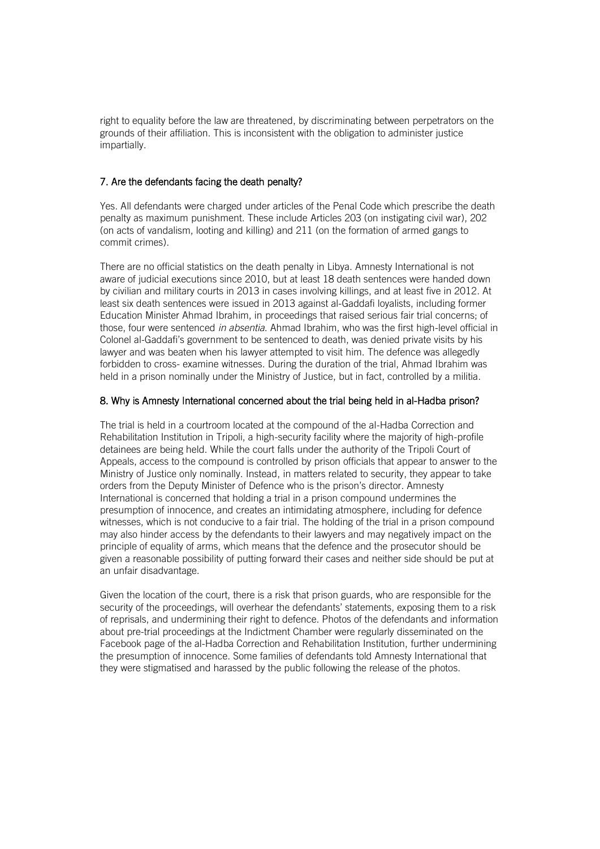right to equality before the law are threatened, by discriminating between perpetrators on the grounds of their affiliation. This is inconsistent with the obligation to administer justice impartially.

# 7. Are the defendants facing the death penalty?

Yes. All defendants were charged under articles of the Penal Code which prescribe the death penalty as maximum punishment. These include Articles 203 (on instigating civil war), 202 (on acts of vandalism, looting and killing) and 211 (on the formation of armed gangs to commit crimes).

There are no official statistics on the death penalty in Libya. Amnesty International is not aware of judicial executions since 2010, but at least 18 death sentences were handed down by civilian and military courts in 2013 in cases involving killings, and at least five in 2012. At least six death sentences were issued in 2013 against al-Gaddafi loyalists, including former Education Minister Ahmad Ibrahim, in proceedings that raised serious fair trial concerns; of those, four were sentenced *in absentia*. Ahmad Ibrahim, who was the first high-level official in Colonel al-Gaddafi's government to be sentenced to death, was denied private visits by his lawyer and was beaten when his lawyer attempted to visit him. The defence was allegedly forbidden to cross- examine witnesses. During the duration of the trial, Ahmad Ibrahim was held in a prison nominally under the Ministry of Justice, but in fact, controlled by a militia.

# 8. Why is Amnesty International concerned about the trial being held in al-Hadba prison?

The trial is held in a courtroom located at the compound of the al-Hadba Correction and Rehabilitation Institution in Tripoli, a high-security facility where the majority of high-profile detainees are being held. While the court falls under the authority of the Tripoli Court of Appeals, access to the compound is controlled by prison officials that appear to answer to the Ministry of Justice only nominally. Instead, in matters related to security, they appear to take orders from the Deputy Minister of Defence who is the prison's director. Amnesty International is concerned that holding a trial in a prison compound undermines the presumption of innocence, and creates an intimidating atmosphere, including for defence witnesses, which is not conducive to a fair trial. The holding of the trial in a prison compound may also hinder access by the defendants to their lawyers and may negatively impact on the principle of equality of arms, which means that the defence and the prosecutor should be given a reasonable possibility of putting forward their cases and neither side should be put at an unfair disadvantage.

Given the location of the court, there is a risk that prison guards, who are responsible for the security of the proceedings, will overhear the defendants' statements, exposing them to a risk of reprisals, and undermining their right to defence. Photos of the defendants and information about pre-trial proceedings at the Indictment Chamber were regularly disseminated on the Facebook page of the al-Hadba Correction and Rehabilitation Institution, further undermining the presumption of innocence. Some families of defendants told Amnesty International that they were stigmatised and harassed by the public following the release of the photos.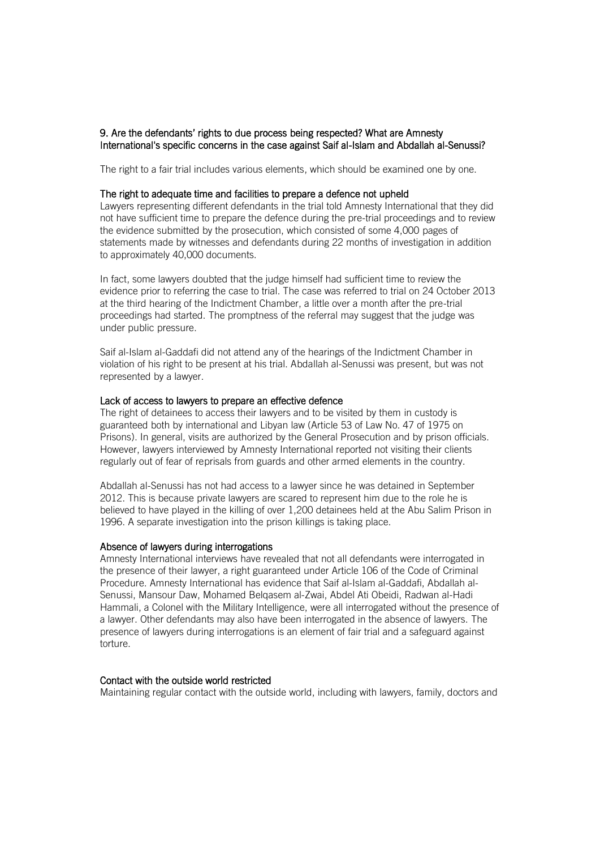# 9. Are the defendants' rights to due process being respected? What are Amnesty International's specific concerns in the case against Saif al-Islam and Abdallah al-Senussi?

The right to a fair trial includes various elements, which should be examined one by one.

# The right to adequate time and facilities to prepare a defence not upheld

Lawyers representing different defendants in the trial told Amnesty International that they did not have sufficient time to prepare the defence during the pre-trial proceedings and to review the evidence submitted by the prosecution, which consisted of some 4,000 pages of statements made by witnesses and defendants during 22 months of investigation in addition to approximately 40,000 documents.

In fact, some lawyers doubted that the judge himself had sufficient time to review the evidence prior to referring the case to trial. The case was referred to trial on 24 October 2013 at the third hearing of the Indictment Chamber, a little over a month after the pre-trial proceedings had started. The promptness of the referral may suggest that the judge was under public pressure.

Saif al-Islam al-Gaddafi did not attend any of the hearings of the Indictment Chamber in violation of his right to be present at his trial. Abdallah al-Senussi was present, but was not represented by a lawyer.

#### Lack of access to lawyers to prepare an effective defence

The right of detainees to access their lawyers and to be visited by them in custody is guaranteed both by international and Libyan law (Article 53 of Law No. 47 of 1975 on Prisons). In general, visits are authorized by the General Prosecution and by prison officials. However, lawyers interviewed by Amnesty International reported not visiting their clients regularly out of fear of reprisals from guards and other armed elements in the country.

Abdallah al-Senussi has not had access to a lawyer since he was detained in September 2012. This is because private lawyers are scared to represent him due to the role he is believed to have played in the killing of over 1,200 detainees held at the Abu Salim Prison in 1996. A separate investigation into the prison killings is taking place.

#### Absence of lawyers during interrogations

Amnesty International interviews have revealed that not all defendants were interrogated in the presence of their lawyer, a right guaranteed under Article 106 of the Code of Criminal Procedure. Amnesty International has evidence that Saif al-Islam al-Gaddafi, Abdallah al-Senussi, Mansour Daw, Mohamed Belqasem al-Zwai, Abdel Ati Obeidi, Radwan al-Hadi Hammali, a Colonel with the Military Intelligence, were all interrogated without the presence of a lawyer. Other defendants may also have been interrogated in the absence of lawyers. The presence of lawyers during interrogations is an element of fair trial and a safeguard against torture.

## Contact with the outside world restricted

Maintaining regular contact with the outside world, including with lawyers, family, doctors and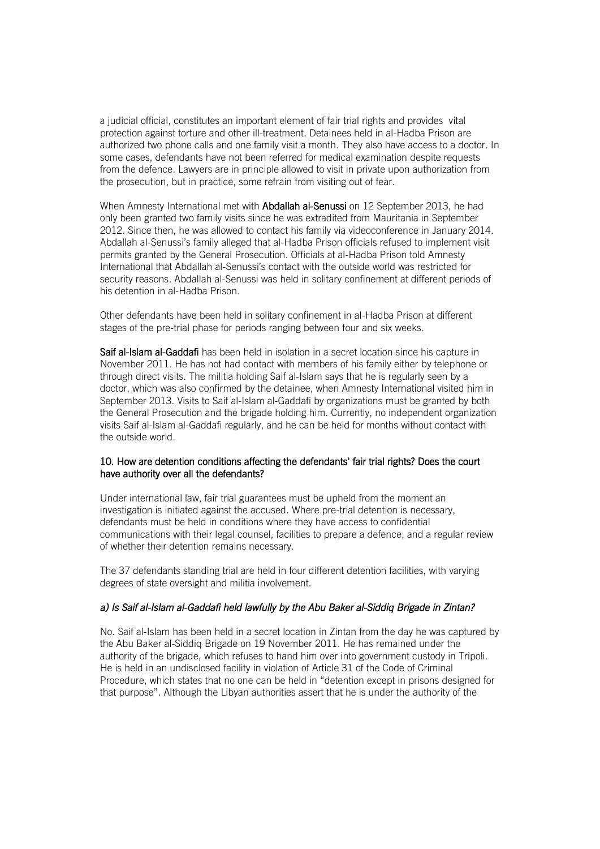a judicial official, constitutes an important element of fair trial rights and provides vital protection against torture and other ill-treatment. Detainees held in al-Hadba Prison are authorized two phone calls and one family visit a month. They also have access to a doctor. In some cases, defendants have not been referred for medical examination despite requests from the defence. Lawyers are in principle allowed to visit in private upon authorization from the prosecution, but in practice, some refrain from visiting out of fear.

When Amnesty International met with Abdallah al-Senussi on 12 September 2013, he had only been granted two family visits since he was extradited from Mauritania in September 2012. Since then, he was allowed to contact his family via videoconference in January 2014. Abdallah al-Senussi's family alleged that al-Hadba Prison officials refused to implement visit permits granted by the General Prosecution. Officials at al-Hadba Prison told Amnesty International that Abdallah al-Senussi's contact with the outside world was restricted for security reasons. Abdallah al-Senussi was held in solitary confinement at different periods of his detention in al-Hadba Prison.

Other defendants have been held in solitary confinement in al-Hadba Prison at different stages of the pre-trial phase for periods ranging between four and six weeks.

Saif al-Islam al-Gaddafi has been held in isolation in a secret location since his capture in November 2011. He has not had contact with members of his family either by telephone or through direct visits. The militia holding Saif al-Islam says that he is regularly seen by a doctor, which was also confirmed by the detainee, when Amnesty International visited him in September 2013. Visits to Saif al-Islam al-Gaddafi by organizations must be granted by both the General Prosecution and the brigade holding him. Currently, no independent organization visits Saif al-Islam al-Gaddafi regularly, and he can be held for months without contact with the outside world.

# 10. How are detention conditions affecting the defendants' fair trial rights? Does the court have authority over all the defendants?

Under international law, fair trial guarantees must be upheld from the moment an investigation is initiated against the accused. Where pre-trial detention is necessary, defendants must be held in conditions where they have access to confidential communications with their legal counsel, facilities to prepare a defence, and a regular review of whether their detention remains necessary.

The 37 defendants standing trial are held in four different detention facilities, with varying degrees of state oversight and militia involvement.

# *a) Is Saif al-Islam al-Gaddafi held lawfully by the Abu Baker al-Siddiq Brigade in Zintan?*

No. Saif al-Islam has been held in a secret location in Zintan from the day he was captured by the Abu Baker al-Siddiq Brigade on 19 November 2011. He has remained under the authority of the brigade, which refuses to hand him over into government custody in Tripoli. He is held in an undisclosed facility in violation of Article 31 of the Code of Criminal Procedure, which states that no one can be held in "detention except in prisons designed for that purpose". Although the Libyan authorities assert that he is under the authority of the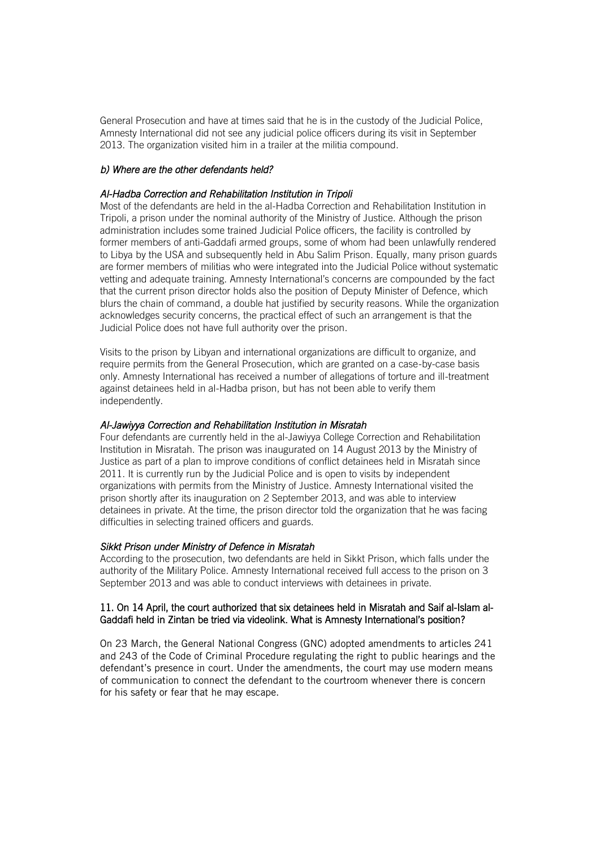General Prosecution and have at times said that he is in the custody of the Judicial Police, Amnesty International did not see any judicial police officers during its visit in September 2013. The organization visited him in a trailer at the militia compound.

# *b) Where are the other defendants held?*

## *Al-Hadba Correction and Rehabilitation Institution in Tripoli*

Most of the defendants are held in the al-Hadba Correction and Rehabilitation Institution in Tripoli, a prison under the nominal authority of the Ministry of Justice. Although the prison administration includes some trained Judicial Police officers, the facility is controlled by former members of anti-Gaddafi armed groups, some of whom had been unlawfully rendered to Libya by the USA and subsequently held in Abu Salim Prison, Equally, many prison guards are former members of militias who were integrated into the Judicial Police without systematic vetting and adequate training. Amnesty International's concerns are compounded by the fact that the current prison director holds also the position of Deputy Minister of Defence, which blurs the chain of command, a double hat justified by security reasons. While the organization acknowledges security concerns, the practical effect of such an arrangement is that the Judicial Police does not have full authority over the prison.

Visits to the prison by Libyan and international organizations are difficult to organize, and require permits from the General Prosecution, which are granted on a case-by-case basis only. Amnesty International has received a number of allegations of torture and ill-treatment against detainees held in al-Hadba prison, but has not been able to verify them independently.

# *Al-Jawiyya Correction and Rehabilitation Institution in Misratah*

Four defendants are currently held in the al-Jawiyya College Correction and Rehabilitation Institution in Misratah. The prison was inaugurated on 14 August 2013 by the Ministry of Justice as part of a plan to improve conditions of conflict detainees held in Misratah since 2011. It is currently run by the Judicial Police and is open to visits by independent organizations with permits from the Ministry of Justice. Amnesty International visited the prison shortly after its inauguration on 2 September 2013, and was able to interview detainees in private. At the time, the prison director told the organization that he was facing difficulties in selecting trained officers and guards.

## *Sikkt Prison under Ministry of Defence in Misratah*

According to the prosecution, two defendants are held in Sikkt Prison, which falls under the authority of the Military Police. Amnesty International received full access to the prison on 3 September 2013 and was able to conduct interviews with detainees in private.

# 11. On 14 April, the court authorized that six detainees held in Misratah and Saif al-Islam al-Gaddafi held in Zintan be tried via videolink. What is Amnesty International's position?

On 23 March, the General National Congress (GNC) adopted amendments to articles 241 and 243 of the Code of Criminal Procedure regulating the right to public hearings and the defendant's presence in court. Under the amendments, the court may use modern means of communication to connect the defendant to the courtroom whenever there is concern for his safety or fear that he may escape.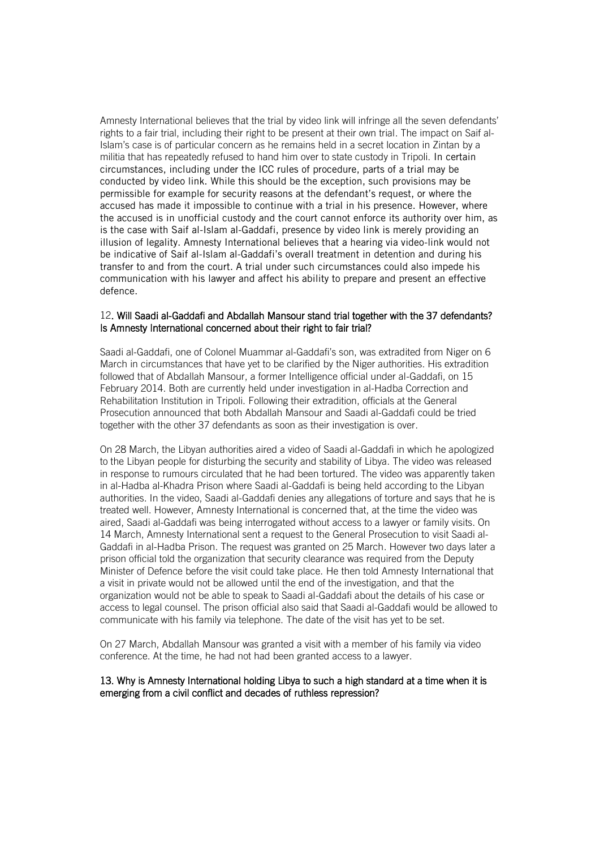Amnesty International believes that the trial by video link will infringe all the seven defendants' rights to a fair trial, including their right to be present at their own trial. The impact on Saif al-Islam's case is of particular concern as he remains held in a secret location in Zintan by a militia that has repeatedly refused to hand him over to state custody in Tripoli. In certain circumstances, including under the ICC rules of procedure, parts of a trial may be conducted by video link. While this should be the exception, such provisions may be permissible for example for security reasons at the defendant's request, or where the accused has made it impossible to continue with a trial in his presence. However, where the accused is in unofficial custody and the court cannot enforce its authority over him, as is the case with Saif al-Islam al-Gaddafi, presence by video link is merely providing an illusion of legality. Amnesty International believes that a hearing via video-link would not be indicative of Saif al-Islam al-Gaddafi's overall treatment in detention and during his transfer to and from the court. A trial under such circumstances could also impede his communication with his lawyer and affect his ability to prepare and present an effective defence.

## 12. Will Saadi al-Gaddafi and Abdallah Mansour stand trial together with the 37 defendants? Is Amnesty International concerned about their right to fair trial?

Saadi al-Gaddafi, one of Colonel Muammar al-Gaddafi's son, was extradited from Niger on 6 March in circumstances that have yet to be clarified by the Niger authorities. His extradition followed that of Abdallah Mansour, a former Intelligence official under al-Gaddafi, on 15 February 2014. Both are currently held under investigation in al-Hadba Correction and Rehabilitation Institution in Tripoli. Following their extradition, officials at the General Prosecution announced that both Abdallah Mansour and Saadi al-Gaddafi could be tried together with the other 37 defendants as soon as their investigation is over.

On 28 March, the Libyan authorities aired a video of Saadi al-Gaddafi in which he apologized to the Libyan people for disturbing the security and stability of Libya. The video was released in response to rumours circulated that he had been tortured. The video was apparently taken in al-Hadba al-Khadra Prison where Saadi al-Gaddafi is being held according to the Libyan authorities. In the video, Saadi al-Gaddafi denies any allegations of torture and says that he is treated well. However, Amnesty International is concerned that, at the time the video was aired, Saadi al-Gaddafi was being interrogated without access to a lawyer or family visits. On 14 March, Amnesty International sent a request to the General Prosecution to visit Saadi al-Gaddafi in al-Hadba Prison. The request was granted on 25 March. However two days later a prison official told the organization that security clearance was required from the Deputy Minister of Defence before the visit could take place. He then told Amnesty International that a visit in private would not be allowed until the end of the investigation, and that the organization would not be able to speak to Saadi al-Gaddafi about the details of his case or access to legal counsel. The prison official also said that Saadi al-Gaddafi would be allowed to communicate with his family via telephone. The date of the visit has yet to be set.

On 27 March, Abdallah Mansour was granted a visit with a member of his family via video conference. At the time, he had not had been granted access to a lawyer.

## 13. Why is Amnesty International holding Libya to such a high standard at a time when it is emerging from a civil conflict and decades of ruthless repression?